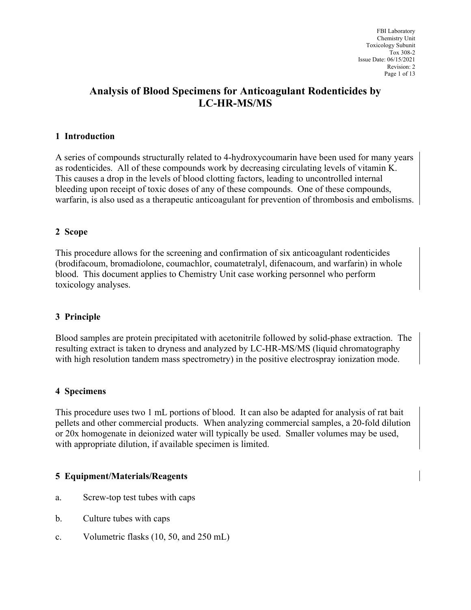## **Analysis of Blood Specimens for Anticoagulant Rodenticides by LC-HR-MS/MS**

### **1 Introduction**

A series of compounds structurally related to 4-hydroxycoumarin have been used for many years as rodenticides. All of these compounds work by decreasing circulating levels of vitamin K. This causes a drop in the levels of blood clotting factors, leading to uncontrolled internal bleeding upon receipt of toxic doses of any of these compounds. One of these compounds, warfarin, is also used as a therapeutic anticoagulant for prevention of thrombosis and embolisms.

#### **2 Scope**

This procedure allows for the screening and confirmation of six anticoagulant rodenticides (brodifacoum, bromadiolone, coumachlor, coumatetralyl, difenacoum, and warfarin) in whole blood. This document applies to Chemistry Unit case working personnel who perform toxicology analyses.

#### **3 Principle**

Blood samples are protein precipitated with acetonitrile followed by solid-phase extraction. The resulting extract is taken to dryness and analyzed by LC-HR-MS/MS (liquid chromatography with high resolution tandem mass spectrometry) in the positive electrospray ionization mode.

#### **4 Specimens**

This procedure uses two 1 mL portions of blood. It can also be adapted for analysis of rat bait pellets and other commercial products. When analyzing commercial samples, a 20-fold dilution or 20x homogenate in deionized water will typically be used. Smaller volumes may be used, with appropriate dilution, if available specimen is limited.

#### **5 Equipment/Materials/Reagents**

- a. Screw-top test tubes with caps
- b. Culture tubes with caps
- c. Volumetric flasks (10, 50, and 250 mL)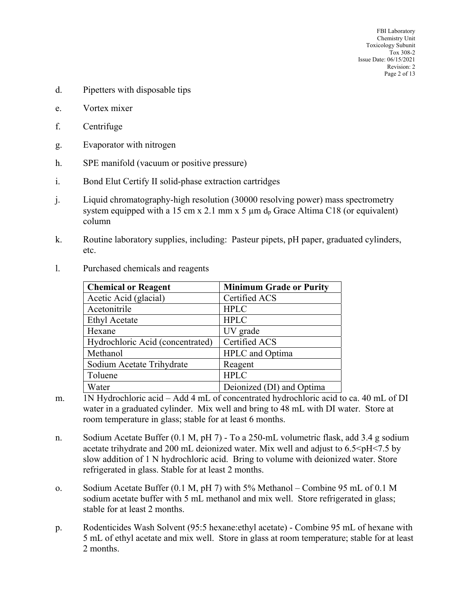- d. Pipetters with disposable tips
- e. Vortex mixer
- f. Centrifuge
- g. Evaporator with nitrogen
- h. SPE manifold (vacuum or positive pressure)
- i. Bond Elut Certify II solid-phase extraction cartridges
- j. Liquid chromatography-high resolution (30000 resolving power) mass spectrometry system equipped with a 15 cm x 2.1 mm x 5  $\mu$ m d<sub>p</sub> Grace Altima C18 (or equivalent) column
- k. Routine laboratory supplies, including: Pasteur pipets, pH paper, graduated cylinders, etc.

| <b>Chemical or Reagent</b>       | <b>Minimum Grade or Purity</b> |
|----------------------------------|--------------------------------|
| Acetic Acid (glacial)            | Certified ACS                  |
| Acetonitrile                     | <b>HPLC</b>                    |
| <b>Ethyl Acetate</b>             | <b>HPLC</b>                    |
| Hexane                           | UV grade                       |
| Hydrochloric Acid (concentrated) | Certified ACS                  |
| Methanol                         | HPLC and Optima                |
| Sodium Acetate Trihydrate        | Reagent                        |
| Toluene                          | <b>HPLC</b>                    |
| Water                            | Deionized (DI) and Optima      |

l. Purchased chemicals and reagents

- m. 1N Hydrochloric acid Add 4 mL of concentrated hydrochloric acid to ca. 40 mL of DI water in a graduated cylinder. Mix well and bring to 48 mL with DI water. Store at room temperature in glass; stable for at least 6 months.
- n. Sodium Acetate Buffer (0.1 M, pH 7) To a 250-mL volumetric flask, add 3.4 g sodium acetate trihydrate and 200 mL deionized water. Mix well and adjust to  $6.5 \le pH \le 7.5$  by slow addition of 1 N hydrochloric acid. Bring to volume with deionized water. Store refrigerated in glass. Stable for at least 2 months.
- o. Sodium Acetate Buffer (0.1 M, pH 7) with 5% Methanol Combine 95 mL of 0.1 M sodium acetate buffer with 5 mL methanol and mix well. Store refrigerated in glass; stable for at least 2 months.
- p. Rodenticides Wash Solvent (95:5 hexane:ethyl acetate) Combine 95 mL of hexane with 5 mL of ethyl acetate and mix well. Store in glass at room temperature; stable for at least 2 months.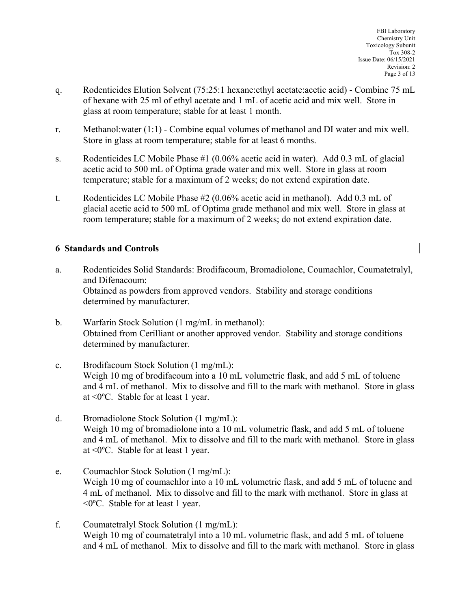- q. Rodenticides Elution Solvent (75:25:1 hexane:ethyl acetate:acetic acid) Combine 75 mL of hexane with 25 ml of ethyl acetate and 1 mL of acetic acid and mix well. Store in glass at room temperature; stable for at least 1 month.
- r. Methanol:water (1:1) Combine equal volumes of methanol and DI water and mix well. Store in glass at room temperature; stable for at least 6 months.
- s. Rodenticides LC Mobile Phase #1 (0.06% acetic acid in water). Add 0.3 mL of glacial acetic acid to 500 mL of Optima grade water and mix well. Store in glass at room temperature; stable for a maximum of 2 weeks; do not extend expiration date.
- t. Rodenticides LC Mobile Phase #2 (0.06% acetic acid in methanol). Add 0.3 mL of glacial acetic acid to 500 mL of Optima grade methanol and mix well. Store in glass at room temperature; stable for a maximum of 2 weeks; do not extend expiration date.

## **6 Standards and Controls**

- a. Rodenticides Solid Standards: Brodifacoum, Bromadiolone, Coumachlor, Coumatetralyl, and Difenacoum: Obtained as powders from approved vendors. Stability and storage conditions determined by manufacturer.
- b. Warfarin Stock Solution (1 mg/mL in methanol): Obtained from Cerilliant or another approved vendor. Stability and storage conditions determined by manufacturer.
- c. Brodifacoum Stock Solution (1 mg/mL): Weigh 10 mg of brodifacoum into a 10 mL volumetric flask, and add 5 mL of toluene and 4 mL of methanol. Mix to dissolve and fill to the mark with methanol. Store in glass at <0ºC. Stable for at least 1 year.
- d. Bromadiolone Stock Solution (1 mg/mL): Weigh 10 mg of bromadiolone into a 10 mL volumetric flask, and add 5 mL of toluene and 4 mL of methanol. Mix to dissolve and fill to the mark with methanol. Store in glass at <0ºC. Stable for at least 1 year.
- e. Coumachlor Stock Solution (1 mg/mL): Weigh 10 mg of coumachlor into a 10 mL volumetric flask, and add 5 mL of toluene and 4 mL of methanol. Mix to dissolve and fill to the mark with methanol. Store in glass at <0ºC. Stable for at least 1 year.
- f. Coumatetralyl Stock Solution (1 mg/mL): Weigh 10 mg of coumatetralyl into a 10 mL volumetric flask, and add 5 mL of toluene and 4 mL of methanol. Mix to dissolve and fill to the mark with methanol. Store in glass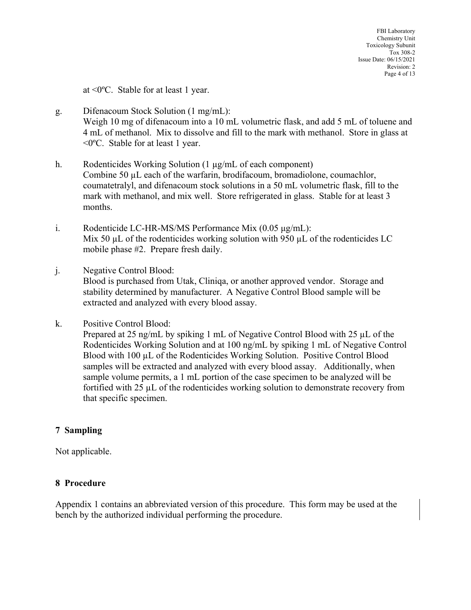at <0ºC. Stable for at least 1 year.

- g. Difenacoum Stock Solution (1 mg/mL): Weigh 10 mg of difenacoum into a 10 mL volumetric flask, and add 5 mL of toluene and 4 mL of methanol. Mix to dissolve and fill to the mark with methanol. Store in glass at <0ºC. Stable for at least 1 year.
- h. Rodenticides Working Solution (1 µg/mL of each component) Combine 50 µL each of the warfarin, brodifacoum, bromadiolone, coumachlor, coumatetralyl, and difenacoum stock solutions in a 50 mL volumetric flask, fill to the mark with methanol, and mix well. Store refrigerated in glass. Stable for at least 3 months.
- i. Rodenticide LC-HR-MS/MS Performance Mix (0.05 μg/mL): Mix 50  $\mu$ L of the rodenticides working solution with 950  $\mu$ L of the rodenticides LC mobile phase #2. Prepare fresh daily.
- j. Negative Control Blood: Blood is purchased from Utak, Cliniqa, or another approved vendor. Storage and stability determined by manufacturer. A Negative Control Blood sample will be extracted and analyzed with every blood assay.
- k. Positive Control Blood:

Prepared at 25 ng/mL by spiking 1 mL of Negative Control Blood with 25 µL of the Rodenticides Working Solution and at 100 ng/mL by spiking 1 mL of Negative Control Blood with 100 µL of the Rodenticides Working Solution. Positive Control Blood samples will be extracted and analyzed with every blood assay. Additionally, when sample volume permits, a 1 mL portion of the case specimen to be analyzed will be fortified with  $25 \mu L$  of the rodenticides working solution to demonstrate recovery from that specific specimen.

#### **7 Sampling**

Not applicable.

#### **8 Procedure**

Appendix 1 contains an abbreviated version of this procedure. This form may be used at the bench by the authorized individual performing the procedure.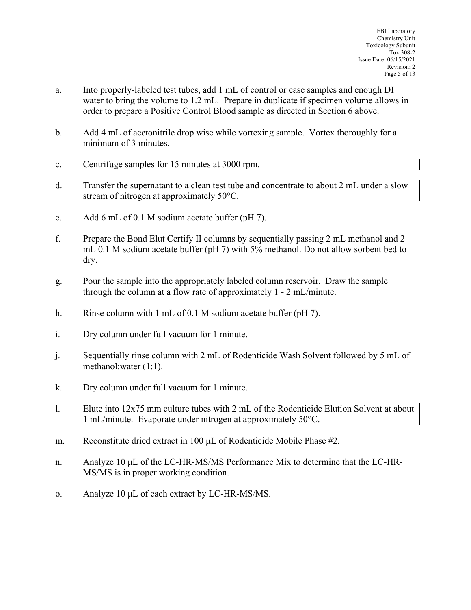- a. Into properly-labeled test tubes, add 1 mL of control or case samples and enough DI water to bring the volume to 1.2 mL. Prepare in duplicate if specimen volume allows in order to prepare a Positive Control Blood sample as directed in Section 6 above.
- b. Add 4 mL of acetonitrile drop wise while vortexing sample. Vortex thoroughly for a minimum of 3 minutes.
- c. Centrifuge samples for 15 minutes at 3000 rpm.
- d. Transfer the supernatant to a clean test tube and concentrate to about 2 mL under a slow stream of nitrogen at approximately 50°C.
- e. Add 6 mL of 0.1 M sodium acetate buffer (pH 7).
- f. Prepare the Bond Elut Certify II columns by sequentially passing 2 mL methanol and 2 mL 0.1 M sodium acetate buffer (pH 7) with 5% methanol. Do not allow sorbent bed to dry.
- g. Pour the sample into the appropriately labeled column reservoir. Draw the sample through the column at a flow rate of approximately 1 - 2 mL/minute.
- h. Rinse column with 1 mL of 0.1 M sodium acetate buffer (pH 7).
- i. Dry column under full vacuum for 1 minute.
- j. Sequentially rinse column with 2 mL of Rodenticide Wash Solvent followed by 5 mL of methanol:water (1:1).
- k. Dry column under full vacuum for 1 minute.
- l. Elute into 12x75 mm culture tubes with 2 mL of the Rodenticide Elution Solvent at about 1 mL/minute. Evaporate under nitrogen at approximately 50°C.
- m. Reconstitute dried extract in 100 μL of Rodenticide Mobile Phase #2.
- n. Analyze 10 μL of the LC-HR-MS/MS Performance Mix to determine that the LC-HR-MS/MS is in proper working condition.
- o. Analyze 10 μL of each extract by LC-HR-MS/MS.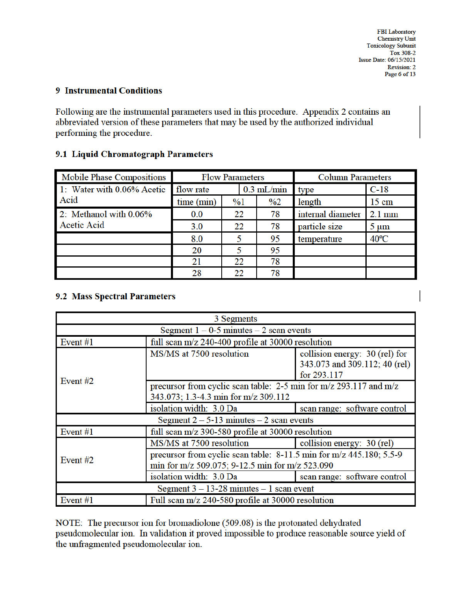**FBI** Laboratory **Chemistry Unit Toxicology Subunit** Tox 308-2 Issue Date: 06/15/2021 Revision: 2 Page 6 of 13

## **9 Instrumental Conditions**

Following are the instrumental parameters used in this procedure. Appendix 2 contains an abbreviated version of these parameters that may be used by the authorized individual performing the procedure.

#### 9.1 Liquid Chromatograph Parameters

| <b>Mobile Phase Compositions</b> | <b>Flow Parameters</b>    |               | <b>Column Parameters</b> |                |                   |                  |
|----------------------------------|---------------------------|---------------|--------------------------|----------------|-------------------|------------------|
| 1: Water with 0.06% Acetic       | flow rate<br>$0.3$ mL/min |               |                          | type           | $C-18$            |                  |
| Acid                             | time (min)                | $\frac{9}{6}$ |                          | $\frac{0}{02}$ | length            | $15 \text{ cm}$  |
| 2: Methanol with 0.06%           | 0.0                       | 22            |                          | 78             | internal diameter | $2.1 \text{ mm}$ |
| <b>Acetic Acid</b>               | 3.0                       | 22            |                          | 78             | particle size     | $5 \mu m$        |
|                                  | 8.0                       |               |                          | 95             | temperature       | $40^{\circ}$ C   |
|                                  | 20                        |               |                          | 95             |                   |                  |
|                                  | 21                        | 22            |                          | 78             |                   |                  |
|                                  | 28                        | 22            |                          | 78             |                   |                  |

#### 9.2 Mass Spectral Parameters

| 3 Segments                                    |                                                                                                                        |                                                                                |  |
|-----------------------------------------------|------------------------------------------------------------------------------------------------------------------------|--------------------------------------------------------------------------------|--|
| Segment $1 - 0.5$ minutes $- 2$ scan events   |                                                                                                                        |                                                                                |  |
| Event #1                                      | full scan m/z 240-400 profile at 30000 resolution                                                                      |                                                                                |  |
| Event $#2$                                    | MS/MS at 7500 resolution                                                                                               | collision energy: 30 (rel) for<br>343.073 and 309.112; 40 (rel)<br>for 293.117 |  |
|                                               | precursor from cyclic scan table: 2-5 min for m/z 293.117 and m/z<br>343.073; 1.3-4.3 min for m/z 309.112              |                                                                                |  |
|                                               | isolation width: 3.0 Da                                                                                                | scan range: software control                                                   |  |
| Segment $2 - 5 - 13$ minutes $-2$ scan events |                                                                                                                        |                                                                                |  |
| Event <sub>#1</sub>                           | full scan m/z 390-580 profile at 30000 resolution                                                                      |                                                                                |  |
| Event $#2$                                    | MS/MS at 7500 resolution                                                                                               | collision energy: 30 (rel)                                                     |  |
|                                               | precursor from cyclic scan table: 8-11.5 min for m/z 445.180; 5.5-9<br>min for m/z 509.075; 9-12.5 min for m/z 523.090 |                                                                                |  |
|                                               | isolation width: 3.0 Da                                                                                                | scan range: software control                                                   |  |
| Segment $3 - 13 - 28$ minutes $-1$ scan event |                                                                                                                        |                                                                                |  |
| Event <sub>#1</sub>                           | Full scan m/z 240-580 profile at 30000 resolution                                                                      |                                                                                |  |

NOTE: The precursor ion for bromadiolone (509.08) is the protonated dehydrated pseudomolecular ion. In validation it proved impossible to produce reasonable source yield of the unfragmented pseudomolecular ion.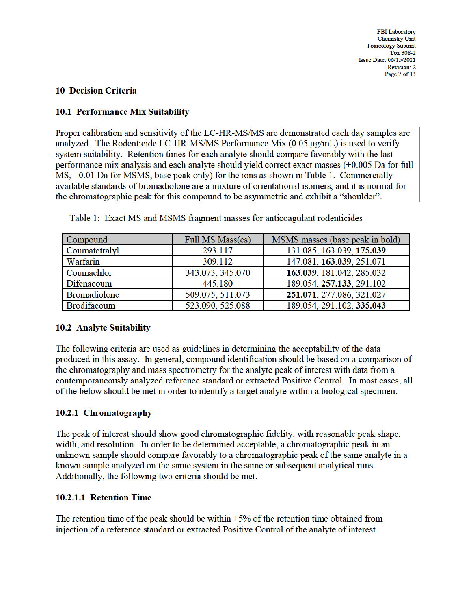**FBI** Laboratory **Chemistry Unit Toxicology Subunit Tox 308-2** Issue Date: 06/15/2021 Revision: 2 Page 7 of 13

### **10 Decision Criteria**

## 10.1 Performance Mix Suitability

Proper calibration and sensitivity of the LC-HR-MS/MS are demonstrated each day samples are analyzed. The Rodenticide LC-HR-MS/MS Performance Mix  $(0.05 \mu g/mL)$  is used to verify system suitability. Retention times for each analyte should compare favorably with the last performance mix analysis and each analyte should yield correct exact masses (±0.005 Da for full  $MS, \pm 0.01$  Da for MSMS, base peak only) for the ions as shown in Table 1. Commercially available standards of bromadiolone are a mixture of orientational isomers, and it is normal for the chromatographic peak for this compound to be asymmetric and exhibit a "shoulder".

| Compound            | Full MS Mass(es) | MSMS masses (base peak in bold) |
|---------------------|------------------|---------------------------------|
| Coumatetralyl       | 293.117          | 131.085, 163.039, 175.039       |
| Warfarin            | 309.112          | 147.081, 163.039, 251.071       |
| Coumachlor          | 343.073, 345.070 | 163.039, 181.042, 285.032       |
| Difenacoum          | 445.180          | 189.054, 257.133, 291.102       |
| <b>Bromadiolone</b> | 509.075, 511.073 | 251.071, 277.086, 321.027       |
| Brodifacoum         | 523.090, 525.088 | 189.054, 291.102, 335.043       |

Table 1: Exact MS and MSMS fragment masses for anticoagulant rodenticides

## **10.2 Analyte Suitability**

The following criteria are used as guidelines in determining the acceptability of the data produced in this assay. In general, compound identification should be based on a comparison of the chromatography and mass spectrometry for the analyte peak of interest with data from a contemporaneously analyzed reference standard or extracted Positive Control. In most cases, all of the below should be met in order to identify a target analyte within a biological specimen:

## 10.2.1 Chromatography

The peak of interest should show good chromatographic fidelity, with reasonable peak shape, width, and resolution. In order to be determined acceptable, a chromatographic peak in an unknown sample should compare favorably to a chromatographic peak of the same analyte in a known sample analyzed on the same system in the same or subsequent analytical runs. Additionally, the following two criteria should be met.

## 10.2.1.1 Retention Time

The retention time of the peak should be within  $\pm$ 5% of the retention time obtained from injection of a reference standard or extracted Positive Control of the analyte of interest.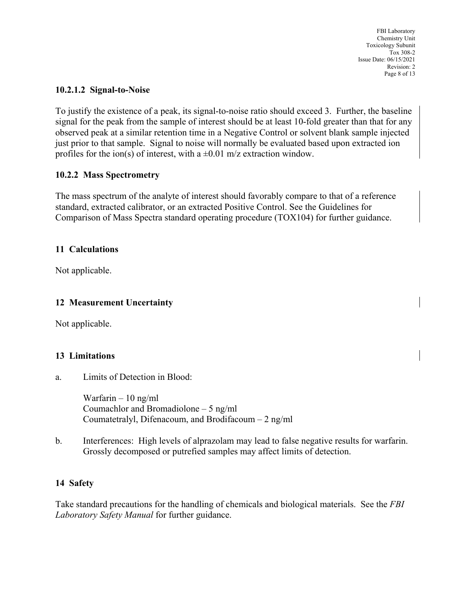FBI Laboratory Chemistry Unit Toxicology Subunit Tox 308-2 Issue Date: 06/15/2021 Revision: 2 Page 8 of 13

## **10.2.1.2 Signal-to-Noise**

To justify the existence of a peak, its signal-to-noise ratio should exceed 3. Further, the baseline signal for the peak from the sample of interest should be at least 10-fold greater than that for any observed peak at a similar retention time in a Negative Control or solvent blank sample injected just prior to that sample. Signal to noise will normally be evaluated based upon extracted ion profiles for the ion(s) of interest, with a  $\pm 0.01$  m/z extraction window.

## **10.2.2 Mass Spectrometry**

The mass spectrum of the analyte of interest should favorably compare to that of a reference standard, extracted calibrator, or an extracted Positive Control. See the Guidelines for Comparison of Mass Spectra standard operating procedure (TOX104) for further guidance.

## **11 Calculations**

Not applicable.

## **12 Measurement Uncertainty**

Not applicable.

## **13 Limitations**

a. Limits of Detection in Blood:

Warfarin – 10 ng/ml Coumachlor and Bromadiolone – 5 ng/ml Coumatetralyl, Difenacoum, and Brodifacoum – 2 ng/ml

b. Interferences: High levels of alprazolam may lead to false negative results for warfarin. Grossly decomposed or putrefied samples may affect limits of detection.

#### **14 Safety**

Take standard precautions for the handling of chemicals and biological materials. See the *FBI Laboratory Safety Manual* for further guidance.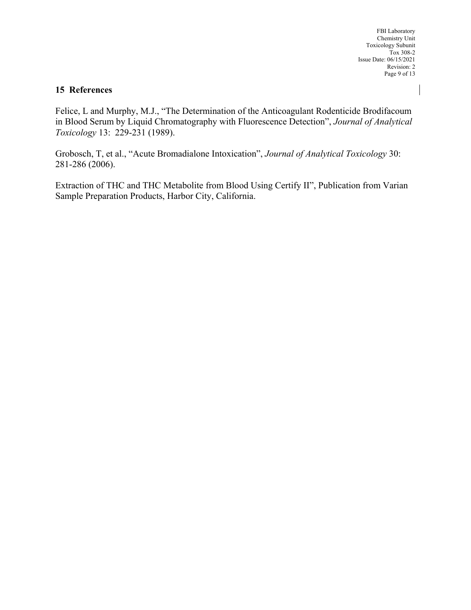FBI Laboratory Chemistry Unit Toxicology Subunit Tox 308-2 Issue Date: 06/15/2021 Revision: 2 Page 9 of 13

#### **15 References**

Felice, L and Murphy, M.J., "The Determination of the Anticoagulant Rodenticide Brodifacoum in Blood Serum by Liquid Chromatography with Fluorescence Detection", *Journal of Analytical Toxicology* 13: 229-231 (1989).

Grobosch, T, et al., "Acute Bromadialone Intoxication", *Journal of Analytical Toxicology* 30: 281-286 (2006).

Extraction of THC and THC Metabolite from Blood Using Certify II", Publication from Varian Sample Preparation Products, Harbor City, California.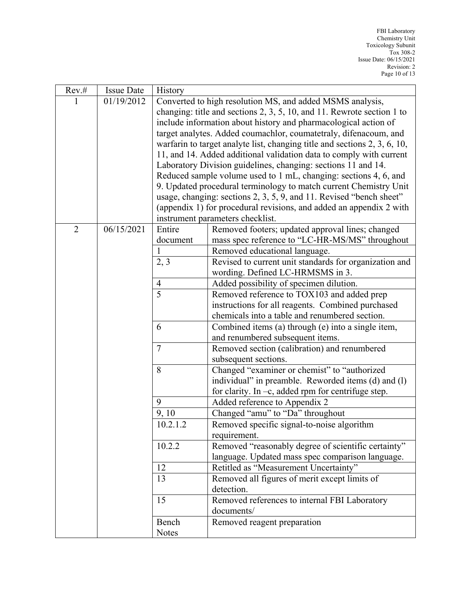| Rev.#          | <b>Issue Date</b> | <b>History</b>                                                            |                                                                                                     |
|----------------|-------------------|---------------------------------------------------------------------------|-----------------------------------------------------------------------------------------------------|
| 1              | 01/19/2012        | Converted to high resolution MS, and added MSMS analysis,                 |                                                                                                     |
|                |                   | changing: title and sections $2, 3, 5, 10$ , and 11. Rewrote section 1 to |                                                                                                     |
|                |                   | include information about history and pharmacological action of           |                                                                                                     |
|                |                   | target analytes. Added coumachlor, coumatetraly, difenacoum, and          |                                                                                                     |
|                |                   |                                                                           | warfarin to target analyte list, changing title and sections $2, 3, 6, 10$ ,                        |
|                |                   | 11, and 14. Added additional validation data to comply with current       |                                                                                                     |
|                |                   | Laboratory Division guidelines, changing: sections 11 and 14.             |                                                                                                     |
|                |                   | Reduced sample volume used to 1 mL, changing: sections 4, 6, and          |                                                                                                     |
|                |                   | 9. Updated procedural terminology to match current Chemistry Unit         |                                                                                                     |
|                |                   | usage, changing: sections 2, 3, 5, 9, and 11. Revised "bench sheet"       |                                                                                                     |
|                |                   | (appendix 1) for procedural revisions, and added an appendix 2 with       |                                                                                                     |
|                |                   | instrument parameters checklist.                                          |                                                                                                     |
| $\overline{2}$ | 06/15/2021        | Entire                                                                    | Removed footers; updated approval lines; changed                                                    |
|                |                   | document                                                                  | mass spec reference to "LC-HR-MS/MS" throughout                                                     |
|                |                   | 1                                                                         | Removed educational language.                                                                       |
|                |                   | 2, 3                                                                      | Revised to current unit standards for organization and                                              |
|                |                   | wording. Defined LC-HRMSMS in 3.                                          |                                                                                                     |
|                |                   | $\overline{4}$<br>5                                                       | Added possibility of specimen dilution.                                                             |
|                |                   |                                                                           | Removed reference to TOX103 and added prep                                                          |
|                |                   |                                                                           | instructions for all reagents. Combined purchased<br>chemicals into a table and renumbered section. |
|                |                   | 6                                                                         | Combined items (a) through (e) into a single item,                                                  |
|                |                   |                                                                           | and renumbered subsequent items.                                                                    |
|                |                   | $\overline{7}$                                                            | Removed section (calibration) and renumbered                                                        |
|                |                   |                                                                           | subsequent sections.                                                                                |
|                |                   | 8                                                                         | Changed "examiner or chemist" to "authorized                                                        |
|                |                   |                                                                           | individual" in preamble. Reworded items (d) and (l)                                                 |
|                |                   |                                                                           | for clarity. In $-c$ , added rpm for centrifuge step.                                               |
|                |                   | 9<br>Added reference to Appendix 2                                        |                                                                                                     |
|                |                   | 9, 10                                                                     | Changed "amu" to "Da" throughout                                                                    |
|                |                   | 10.2.1.2                                                                  | Removed specific signal-to-noise algorithm                                                          |
|                |                   |                                                                           | requirement.                                                                                        |
|                |                   | 10.2.2                                                                    | Removed "reasonably degree of scientific certainty"                                                 |
|                |                   |                                                                           | language. Updated mass spec comparison language.                                                    |
|                |                   | 12                                                                        | Retitled as "Measurement Uncertainty"                                                               |
|                |                   | 13                                                                        | Removed all figures of merit except limits of                                                       |
|                |                   |                                                                           | detection.                                                                                          |
|                |                   | 15<br>Removed references to internal FBI Laboratory                       |                                                                                                     |
|                |                   |                                                                           | documents/                                                                                          |
|                |                   | Bench                                                                     | Removed reagent preparation                                                                         |
|                |                   | <b>Notes</b>                                                              |                                                                                                     |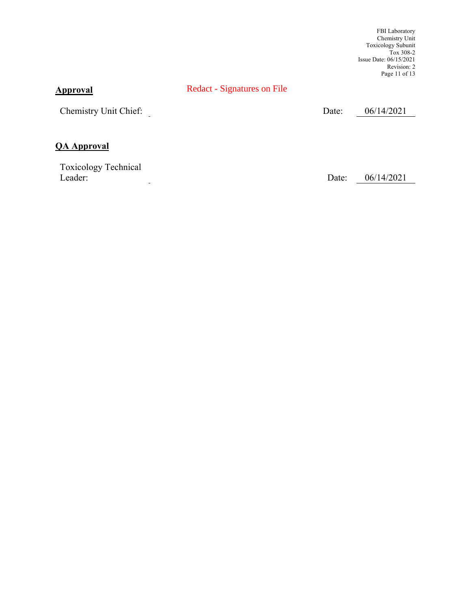FBI Laboratory Chemistry Unit Toxicology Subunit Tox 308-2 Issue Date: 06/15/2021 Revision: 2 Page 11 of 13

## **Approval**

Redact - Signatures on File

Chemistry Unit Chief: Date: 06/14/2021

## **QA Approval**

Toxicology Technical Leader: Date: 06/14/2021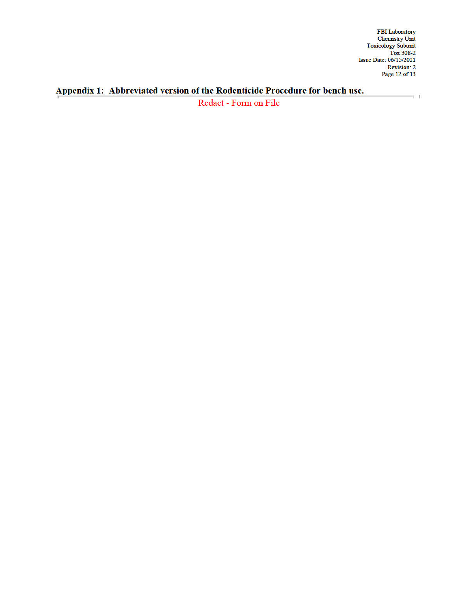FBI Laboratory<br>
Chemistry Unit<br>
Toxicology Subunit<br>
Tox 308-2<br>
Issue Date: 06/15/2021<br>
Revision: 2<br>
Page 12 of 13

 $\overline{\phantom{a}}$  i

# Appendix 1: Abbreviated version of the Rodenticide Procedure for bench use.

Redact - Form on File